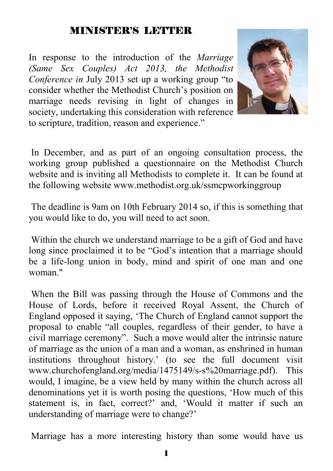## MINISTER'S LETTER

In response to the introduction of the *Marriage (Same Sex Couples) Act 2013, the Methodist Conference in* July 2013 set up a working group "to consider whether the Methodist Church's position on marriage needs revising in light of changes in society, undertaking this consideration with reference to scripture, tradition, reason and experience."



 In December, and as part of an ongoing consultation process, the working group published a questionnaire on the Methodist Church website and is inviting all Methodists to complete it. It can be found at the following website www.methodist.org.uk/ssmcpworkinggroup

 The deadline is 9am on 10th February 2014 so, if this is something that you would like to do, you will need to act soon.

 Within the church we understand marriage to be a gift of God and have long since proclaimed it to be "God's intention that a marriage should be a life-long union in body, mind and spirit of one man and one woman."

 When the Bill was passing through the House of Commons and the House of Lords, before it received Royal Assent, the Church of England opposed it saying, 'The Church of England cannot support the proposal to enable "all couples, regardless of their gender, to have a civil marriage ceremony". Such a move would alter the intrinsic nature of marriage as the union of a man and a woman, as enshrined in human institutions throughout history.' (to see the full document visit www.churchofengland.org/media/1475149/s-s%20marriage.pdf). This would, I imagine, be a view held by many within the church across all denominations yet it is worth posing the questions, 'How much of this statement is, in fact, correct?' and, 'Would it matter if such an understanding of marriage were to change?'

Marriage has a more interesting history than some would have us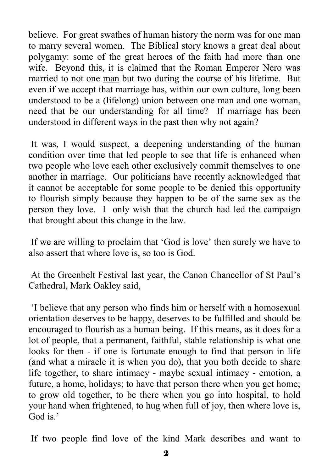believe. For great swathes of human history the norm was for one man to marry several women. The Biblical story knows a great deal about polygamy: some of the great heroes of the faith had more than one wife. Beyond this, it is claimed that the Roman Emperor Nero was married to not one man but two during the course of his lifetime. But even if we accept that marriage has, within our own culture, long been understood to be a (lifelong) union between one man and one woman, need that be our understanding for all time? If marriage has been understood in different ways in the past then why not again?

 It was, I would suspect, a deepening understanding of the human condition over time that led people to see that life is enhanced when two people who love each other exclusively commit themselves to one another in marriage. Our politicians have recently acknowledged that it cannot be acceptable for some people to be denied this opportunity to flourish simply because they happen to be of the same sex as the person they love. I only wish that the church had led the campaign that brought about this change in the law.

 If we are willing to proclaim that 'God is love' then surely we have to also assert that where love is, so too is God.

 At the Greenbelt Festival last year, the Canon Chancellor of St Paul's Cathedral, Mark Oakley said,

 'I believe that any person who finds him or herself with a homosexual orientation deserves to be happy, deserves to be fulfilled and should be encouraged to flourish as a human being. If this means, as it does for a lot of people, that a permanent, faithful, stable relationship is what one looks for then - if one is fortunate enough to find that person in life (and what a miracle it is when you do), that you both decide to share life together, to share intimacy - maybe sexual intimacy - emotion, a future, a home, holidays; to have that person there when you get home; to grow old together, to be there when you go into hospital, to hold your hand when frightened, to hug when full of joy, then where love is, God is.'

If two people find love of the kind Mark describes and want to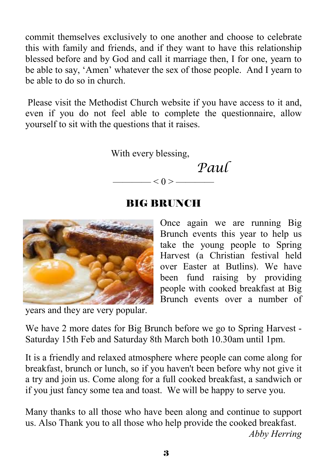commit themselves exclusively to one another and choose to celebrate this with family and friends, and if they want to have this relationship blessed before and by God and call it marriage then, I for one, yearn to be able to say, 'Amen' whatever the sex of those people. And I yearn to be able to do so in church.

 Please visit the Methodist Church website if you have access to it and, even if you do not feel able to complete the questionnaire, allow yourself to sit with the questions that it raises.

With every blessing,

 *Paul*   $- < 0 >$  ——

## BIG BRUNCH



years and they are very popular.

Once again we are running Big Brunch events this year to help us take the young people to Spring Harvest (a Christian festival held over Easter at Butlins). We have been fund raising by providing people with cooked breakfast at Big Brunch events over a number of

We have 2 more dates for Big Brunch before we go to Spring Harvest - Saturday 15th Feb and Saturday 8th March both 10.30am until 1pm.

It is a friendly and relaxed atmosphere where people can come along for breakfast, brunch or lunch, so if you haven't been before why not give it a try and join us. Come along for a full cooked breakfast, a sandwich or if you just fancy some tea and toast. We will be happy to serve you.

Many thanks to all those who have been along and continue to support us. Also Thank you to all those who help provide the cooked breakfast. *Abby Herring*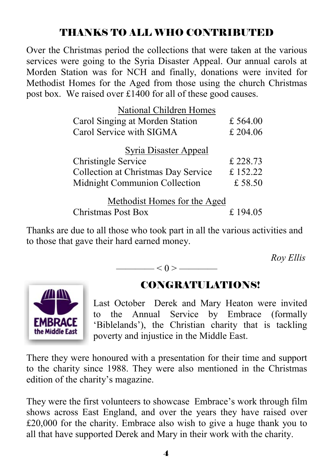## THANKS TO ALL WHO CONTRIBUTED

Over the Christmas period the collections that were taken at the various services were going to the Syria Disaster Appeal. Our annual carols at Morden Station was for NCH and finally, donations were invited for Methodist Homes for the Aged from those using the church Christmas post box. We raised over £1400 for all of these good causes.

| National Children Homes             |            |  |  |  |
|-------------------------------------|------------|--|--|--|
| Carol Singing at Morden Station     | £ $564.00$ |  |  |  |
| Carol Service with SIGMA            | £ 204.06   |  |  |  |
| <b>Syria Disaster Appeal</b>        |            |  |  |  |
| <b>Christingle Service</b>          | £ 228.73   |  |  |  |
| Collection at Christmas Day Service | £152.22    |  |  |  |
| Midnight Communion Collection       | £ 58.50    |  |  |  |
| Methodist Homes for the Aged        |            |  |  |  |
| <b>Christmas Post Box</b>           | £ 194.05   |  |  |  |

Thanks are due to all those who took part in all the various activities and to those that gave their hard earned money.

 $\qquad$   $\leq$  0  $>$   $\qquad$ 

*Roy Ellis* 



## CONGRATULATIONS!

Last October Derek and Mary Heaton were invited to the Annual Service by Embrace (formally 'Biblelands'), the Christian charity that is tackling poverty and injustice in the Middle East.

There they were honoured with a presentation for their time and support to the charity since 1988. They were also mentioned in the Christmas edition of the charity's magazine.

They were the first volunteers to showcase Embrace's work through film shows across East England, and over the years they have raised over £20,000 for the charity. Embrace also wish to give a huge thank you to all that have supported Derek and Mary in their work with the charity.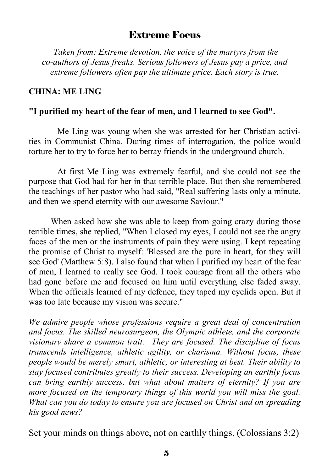#### Extreme Focus

 *Taken from: Extreme devotion, the voice of the martyrs from the co-authors of Jesus freaks. Serious followers of Jesus pay a price, and extreme followers often pay the ultimate price. Each story is true.* 

#### **CHINA: ME LING**

#### **"I purified my heart of the fear of men, and I learned to see God".**

Me Ling was young when she was arrested for her Christian activities in Communist China. During times of interrogation, the police would torture her to try to force her to betray friends in the underground church.

 At first Me Ling was extremely fearful, and she could not see the purpose that God had for her in that terrible place. But then she remembered the teachings of her pastor who had said, "Real suffering lasts only a minute, and then we spend eternity with our awesome Saviour."

When asked how she was able to keep from going crazy during those terrible times, she replied, "When I closed my eyes, I could not see the angry faces of the men or the instruments of pain they were using. I kept repeating the promise of Christ to myself: 'Blessed are the pure in heart, for they will see God' (Matthew 5:8). I also found that when I purified my heart of the fear of men, I learned to really see God. I took courage from all the others who had gone before me and focused on him until everything else faded away. When the officials learned of my defence, they taped my eyelids open. But it was too late because my vision was secure."

*We admire people whose professions require a great deal of concentration and focus. The skilled neurosurgeon, the Olympic athlete, and the corporate visionary share a common trait: They are focused. The discipline of focus transcends intelligence, athletic agility, or charisma. Without focus, these people would be merely smart, athletic, or interesting at best. Their ability to stay focused contributes greatly to their success. Developing an earthly focus can bring earthly success, but what about matters of eternity? If you are more focused on the temporary things of this world you will miss the goal. What can you do today to ensure you are focused on Christ and on spreading his good news?* 

Set your minds on things above, not on earthly things. (Colossians 3:2)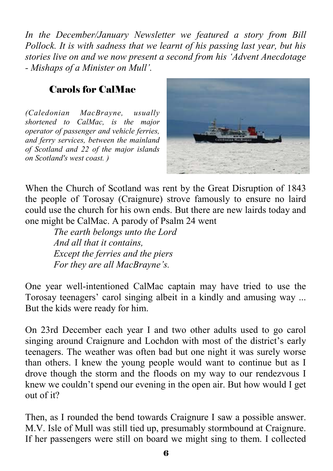*In the December/January Newsletter we featured a story from Bill Pollock. It is with sadness that we learnt of his passing last year, but his stories live on and we now present a second from his 'Advent Anecdotage - Mishaps of a Minister on Mull'.* 

## Carols for CalMac

*(Caledonian MacBrayne, usually shortened to CalMac, is the major operator of passenger and vehicle ferries, and ferry services, between the mainland of Scotland and 22 of the major islands on Scotland's west coast. )* 



When the Church of Scotland was rent by the Great Disruption of 1843 the people of Torosay (Craignure) strove famously to ensure no laird could use the church for his own ends. But there are new lairds today and one might be CalMac. A parody of Psalm 24 went

 *The earth belongs unto the Lord And all that it contains, Except the ferries and the piers For they are all MacBrayne's.* 

One year well-intentioned CalMac captain may have tried to use the Torosay teenagers' carol singing albeit in a kindly and amusing way ... But the kids were ready for him.

On 23rd December each year I and two other adults used to go carol singing around Craignure and Lochdon with most of the district's early teenagers. The weather was often bad but one night it was surely worse than others. I knew the young people would want to continue but as I drove though the storm and the floods on my way to our rendezvous I knew we couldn't spend our evening in the open air. But how would I get out of it?

Then, as I rounded the bend towards Craignure I saw a possible answer. M.V. Isle of Mull was still tied up, presumably stormbound at Craignure. If her passengers were still on board we might sing to them. I collected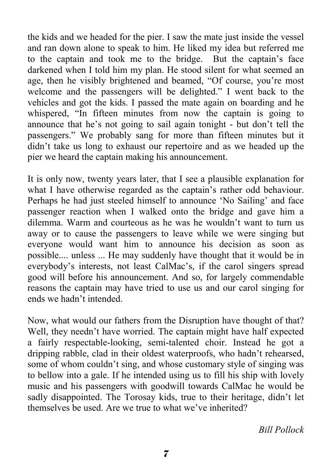the kids and we headed for the pier. I saw the mate just inside the vessel and ran down alone to speak to him. He liked my idea but referred me to the captain and took me to the bridge. But the captain's face darkened when I told him my plan. He stood silent for what seemed an age, then he visibly brightened and beamed, "Of course, you're most welcome and the passengers will be delighted." I went back to the vehicles and got the kids. I passed the mate again on boarding and he whispered, "In fifteen minutes from now the captain is going to announce that he's not going to sail again tonight - but don't tell the passengers." We probably sang for more than fifteen minutes but it didn't take us long to exhaust our repertoire and as we headed up the pier we heard the captain making his announcement.

It is only now, twenty years later, that I see a plausible explanation for what I have otherwise regarded as the captain's rather odd behaviour. Perhaps he had just steeled himself to announce 'No Sailing' and face passenger reaction when I walked onto the bridge and gave him a dilemma. Warm and courteous as he was he wouldn't want to turn us away or to cause the passengers to leave while we were singing but everyone would want him to announce his decision as soon as possible.... unless ... He may suddenly have thought that it would be in everybody's interests, not least CalMac's, if the carol singers spread good will before his announcement. And so, for largely commendable reasons the captain may have tried to use us and our carol singing for ends we hadn't intended.

Now, what would our fathers from the Disruption have thought of that? Well, they needn't have worried. The captain might have half expected a fairly respectable-looking, semi-talented choir. Instead he got a dripping rabble, clad in their oldest waterproofs, who hadn't rehearsed, some of whom couldn't sing, and whose customary style of singing was to bellow into a gale. If he intended using us to fill his ship with lovely music and his passengers with goodwill towards CalMac he would be sadly disappointed. The Torosay kids, true to their heritage, didn't let themselves be used. Are we true to what we've inherited?

*Bill Pollock*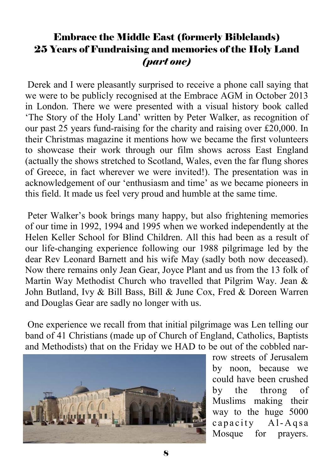## Embrace the Middle East (formerly Biblelands) 25 Years of Fundraising and memories of the Holy Land *(part one)*

 Derek and I were pleasantly surprised to receive a phone call saying that we were to be publicly recognised at the Embrace AGM in October 2013 in London. There we were presented with a visual history book called 'The Story of the Holy Land' written by Peter Walker, as recognition of our past 25 years fund-raising for the charity and raising over £20,000. In their Christmas magazine it mentions how we became the first volunteers to showcase their work through our film shows across East England (actually the shows stretched to Scotland, Wales, even the far flung shores of Greece, in fact wherever we were invited!). The presentation was in acknowledgement of our 'enthusiasm and time' as we became pioneers in this field. It made us feel very proud and humble at the same time.

 Peter Walker's book brings many happy, but also frightening memories of our time in 1992, 1994 and 1995 when we worked independently at the Helen Keller School for Blind Children. All this had been as a result of our life-changing experience following our 1988 pilgrimage led by the dear Rev Leonard Barnett and his wife May (sadly both now deceased). Now there remains only Jean Gear, Joyce Plant and us from the 13 folk of Martin Way Methodist Church who travelled that Pilgrim Way. Jean & John Butland, Ivy & Bill Bass, Bill & June Cox, Fred & Doreen Warren and Douglas Gear are sadly no longer with us.

 One experience we recall from that initial pilgrimage was Len telling our band of 41 Christians (made up of Church of England, Catholics, Baptists and Methodists) that on the Friday we HAD to be out of the cobbled nar-



row streets of Jerusalem by noon, because we could have been crushed by the throng of Muslims making their way to the huge 5000 capacity Al-Agsa Mosque for prayers.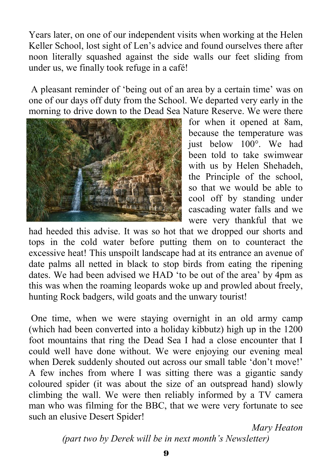Years later, on one of our independent visits when working at the Helen Keller School, lost sight of Len's advice and found ourselves there after noon literally squashed against the side walls our feet sliding from under us, we finally took refuge in a café!

 A pleasant reminder of 'being out of an area by a certain time' was on one of our days off duty from the School. We departed very early in the morning to drive down to the Dead Sea Nature Reserve. We were there



for when it opened at 8am, because the temperature was just below 100°. We had been told to take swimwear with us by Helen Shehadeh, the Principle of the school, so that we would be able to cool off by standing under cascading water falls and we were very thankful that we

had heeded this advise. It was so hot that we dropped our shorts and tops in the cold water before putting them on to counteract the excessive heat! This unspoilt landscape had at its entrance an avenue of date palms all netted in black to stop birds from eating the ripening dates. We had been advised we HAD 'to be out of the area' by 4pm as this was when the roaming leopards woke up and prowled about freely, hunting Rock badgers, wild goats and the unwary tourist!

 One time, when we were staying overnight in an old army camp (which had been converted into a holiday kibbutz) high up in the 1200 foot mountains that ring the Dead Sea I had a close encounter that I could well have done without. We were enjoying our evening meal when Derek suddenly shouted out across our small table 'don't move!' A few inches from where I was sitting there was a gigantic sandy coloured spider (it was about the size of an outspread hand) slowly climbing the wall. We were then reliably informed by a TV camera man who was filming for the BBC, that we were very fortunate to see such an elusive Desert Spider!

> *Mary Heaton (part two by Derek will be in next month's Newsletter)*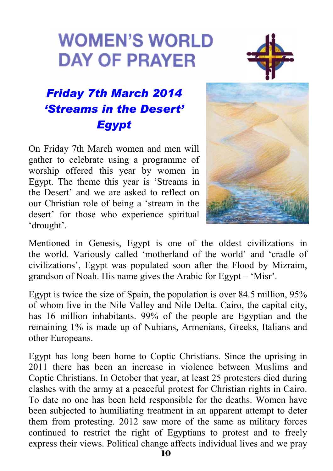# **WOMEN'S WORLD DAY OF PRAYER**



# *Friday 7th March 2014 'Streams in the Desert' Egypt*

On Friday 7th March women and men will gather to celebrate using a programme of worship offered this year by women in Egypt. The theme this year is 'Streams in the Desert' and we are asked to reflect on our Christian role of being a 'stream in the desert' for those who experience spiritual 'drought'.



Mentioned in Genesis, Egypt is one of the oldest civilizations in the world. Variously called 'motherland of the world' and 'cradle of civilizations', Egypt was populated soon after the Flood by Mizraim, grandson of Noah. His name gives the Arabic for Egypt – 'Misr'.

Egypt is twice the size of Spain, the population is over 84.5 million, 95% of whom live in the Nile Valley and Nile Delta. Cairo, the capital city, has 16 million inhabitants. 99% of the people are Egyptian and the remaining 1% is made up of Nubians, Armenians, Greeks, Italians and other Europeans.

Egypt has long been home to Coptic Christians. Since the uprising in 2011 there has been an increase in violence between Muslims and Coptic Christians. In October that year, at least 25 protesters died during clashes with the army at a peaceful protest for Christian rights in Cairo. To date no one has been held responsible for the deaths. Women have been subjected to humiliating treatment in an apparent attempt to deter them from protesting. 2012 saw more of the same as military forces continued to restrict the right of Egyptians to protest and to freely express their views. Political change affects individual lives and we pray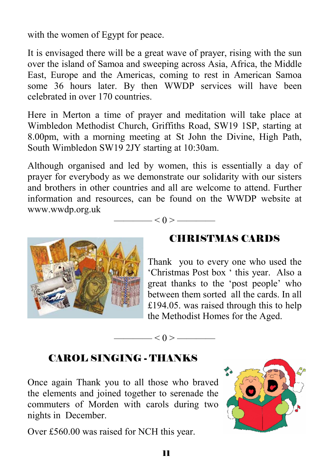with the women of Egypt for peace.

It is envisaged there will be a great wave of prayer, rising with the sun over the island of Samoa and sweeping across Asia, Africa, the Middle East, Europe and the Americas, coming to rest in American Samoa some 36 hours later. By then WWDP services will have been celebrated in over 170 countries.

Here in Merton a time of prayer and meditation will take place at Wimbledon Methodist Church, Griffiths Road, SW19 1SP, starting at 8.00pm, with a morning meeting at St John the Divine, High Path, South Wimbledon SW19 2JY starting at 10:30am.

Although organised and led by women, this is essentially a day of prayer for everybody as we demonstrate our solidarity with our sisters and brothers in other countries and all are welcome to attend. Further information and resources, can be found on the WWDP website at www.wwdp.org.uk

 $-$  < 0 > ——

 $- < 0 >$  —



## CHRISTMAS CARDS

Thank you to every one who used the 'Christmas Post box ' this year. Also a great thanks to the 'post people' who between them sorted all the cards. In all £194.05. was raised through this to help the Methodist Homes for the Aged.

## CAROL SINGING - THANKS

Once again Thank you to all those who braved the elements and joined together to serenade the commuters of Morden with carols during two nights in December.

Over £560.00 was raised for NCH this year.

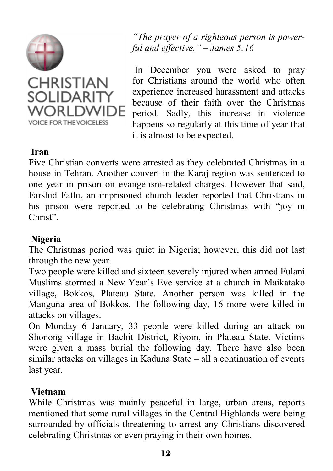



*"The prayer of a righteous person is powerful and effective." – James 5:16* 

In December you were asked to pray for Christians around the world who often experience increased harassment and attacks because of their faith over the Christmas period. Sadly, this increase in violence happens so regularly at this time of year that it is almost to be expected.

#### **Iran**

Five Christian converts were arrested as they celebrated Christmas in a house in Tehran. Another convert in the Karaj region was sentenced to one year in prison on evangelism-related charges. However that said, Farshid Fathi, an imprisoned church leader reported that Christians in his prison were reported to be celebrating Christmas with "joy in Christ".

#### **Nigeria**

The Christmas period was quiet in Nigeria; however, this did not last through the new year.

Two people were killed and sixteen severely injured when armed Fulani Muslims stormed a New Year's Eve service at a church in Maikatako village, Bokkos, Plateau State. Another person was killed in the Manguna area of Bokkos. The following day, 16 more were killed in attacks on villages.

On Monday 6 January, 33 people were killed during an attack on Shonong village in Bachit District, Riyom, in Plateau State. Victims were given a mass burial the following day. There have also been similar attacks on villages in Kaduna State – all a continuation of events last year.

#### **Vietnam**

While Christmas was mainly peaceful in large, urban areas, reports mentioned that some rural villages in the Central Highlands were being surrounded by officials threatening to arrest any Christians discovered celebrating Christmas or even praying in their own homes.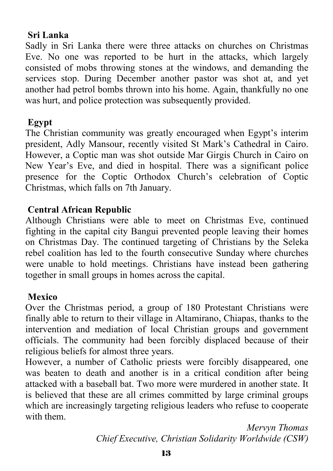## **Sri Lanka**

Sadly in Sri Lanka there were three attacks on churches on Christmas Eve. No one was reported to be hurt in the attacks, which largely consisted of mobs throwing stones at the windows, and demanding the services stop. During December another pastor was shot at, and yet another had petrol bombs thrown into his home. Again, thankfully no one was hurt, and police protection was subsequently provided.

## **Egypt**

The Christian community was greatly encouraged when Egypt's interim president, Adly Mansour, recently visited St Mark's Cathedral in Cairo. However, a Coptic man was shot outside Mar Girgis Church in Cairo on New Year's Eve, and died in hospital. There was a significant police presence for the Coptic Orthodox Church's celebration of Coptic Christmas, which falls on 7th January.

## **Central African Republic**

Although Christians were able to meet on Christmas Eve, continued fighting in the capital city Bangui prevented people leaving their homes on Christmas Day. The continued targeting of Christians by the Seleka rebel coalition has led to the fourth consecutive Sunday where churches were unable to hold meetings. Christians have instead been gathering together in small groups in homes across the capital.

#### **Mexico**

Over the Christmas period, a group of 180 Protestant Christians were finally able to return to their village in Altamirano, Chiapas, thanks to the intervention and mediation of local Christian groups and government officials. The community had been forcibly displaced because of their religious beliefs for almost three years.

However, a number of Catholic priests were forcibly disappeared, one was beaten to death and another is in a critical condition after being attacked with a baseball bat. Two more were murdered in another state. It is believed that these are all crimes committed by large criminal groups which are increasingly targeting religious leaders who refuse to cooperate with them.

> *Mervyn Thomas Chief Executive, Christian Solidarity Worldwide (CSW)*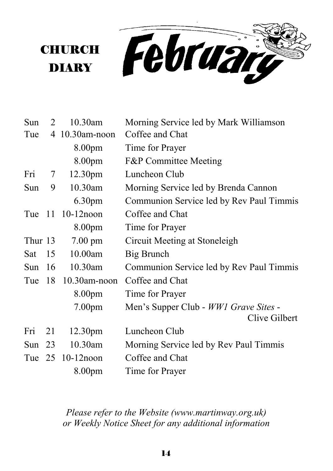February

| Sun      | 2  | 10.30am             | Morning Service led by Mark Williamson   |
|----------|----|---------------------|------------------------------------------|
| Tue      | 4  | $10.30$ am-noon     | Coffee and Chat                          |
|          |    | 8.00 <sub>pm</sub>  | Time for Prayer                          |
|          |    | 8.00pm              | <b>F&amp;P</b> Committee Meeting         |
| Fri      | 7  | 12.30pm             | Luncheon Club                            |
| Sun      | 9  | 10.30am             | Morning Service led by Brenda Cannon     |
|          |    | 6.30 <sub>pm</sub>  | Communion Service led by Rev Paul Timmis |
| Tue 11   |    | $10-12$ noon        | Coffee and Chat                          |
|          |    | 8.00 <sub>pm</sub>  | Time for Prayer                          |
| Thur 13  |    | $7.00 \text{ pm}$   | Circuit Meeting at Stoneleigh            |
| Sat      | 15 | 10.00am             | Big Brunch                               |
| Sun $16$ |    | $10.30$ am          | Communion Service led by Rev Paul Timmis |
| Tue      | 18 | $10.30$ am-noon     | Coffee and Chat                          |
|          |    | 8.00pm              | Time for Prayer                          |
|          |    | 7.00 <sub>pm</sub>  | Men's Supper Club - WW1 Grave Sites -    |
|          |    |                     | Clive Gilbert                            |
| Fri      | 21 | 12.30 <sub>pm</sub> | Luncheon Club                            |
| Sun      | 23 | 10.30am             | Morning Service led by Rev Paul Timmis   |
|          |    | Tue 25 10-12 noon   | Coffee and Chat                          |
|          |    | 8.00pm              | Time for Prayer                          |

**CHURCH** 

**DIARY** 

*Please refer to the Website (www.martinway.org.uk) or Weekly Notice Sheet for any additional information*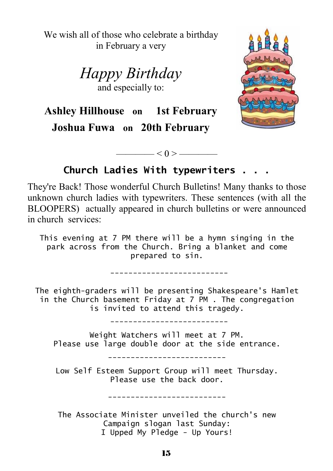We wish all of those who celebrate a birthday in February a very

> *Happy Birthday*  and especially to:



**Ashley Hillhouse on 1st February Joshua Fuwa on 20th February** 

**Church Ladies With typewriters . . .** 

 $\lt 0$  > ——

They're Back! Those wonderful Church Bulletins! Many thanks to those unknown church ladies with typewriters. These sentences (with all the BLOOPERS) actually appeared in church bulletins or were announced in church services:

This evening at 7 PM there will be a hymn singing in the park across from the Church. Bring a blanket and come prepared to sin.

--------------------------

The eighth-graders will be presenting Shakespeare's Hamlet in the Church basement Friday at 7 PM . The congregation is invited to attend this tragedy.

--------------------------

Weight Watchers will meet at 7 PM. Please use large double door at the side entrance.

--------------------------

Low Self Esteem Support Group will meet Thursday. Please use the back door.

--------------------------

The Associate Minister unveiled the church's new Campaign slogan last Sunday: I Upped My Pledge - Up Yours!